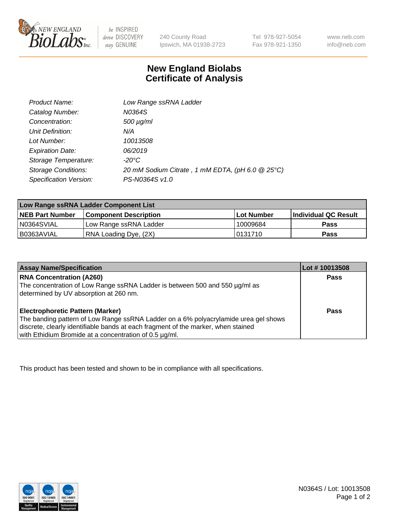

be INSPIRED drive DISCOVERY stay GENUINE

240 County Road Ipswich, MA 01938-2723

Tel 978-927-5054 Fax 978-921-1350 www.neb.com info@neb.com

## **New England Biolabs Certificate of Analysis**

| Product Name:              | Low Range ssRNA Ladder                           |
|----------------------------|--------------------------------------------------|
| Catalog Number:            | N0364S                                           |
| Concentration:             | $500 \mu g/ml$                                   |
| Unit Definition:           | N/A                                              |
| Lot Number:                | 10013508                                         |
| <b>Expiration Date:</b>    | 06/2019                                          |
| Storage Temperature:       | $-20^{\circ}$ C                                  |
| <b>Storage Conditions:</b> | 20 mM Sodium Citrate, 1 mM EDTA, (pH 6.0 @ 25°C) |
| Specification Version:     | PS-N0364S v1.0                                   |

| Low Range ssRNA Ladder Component List |                              |            |                             |  |
|---------------------------------------|------------------------------|------------|-----------------------------|--|
| <b>NEB Part Number</b>                | <b>Component Description</b> | Lot Number | <b>Individual QC Result</b> |  |
| N0364SVIAL                            | Low Range ssRNA Ladder       | 10009684   | <b>Pass</b>                 |  |
| I B0363AVIAL                          | RNA Loading Dye, (2X)        | 0131710    | <b>Pass</b>                 |  |

| <b>Assay Name/Specification</b>                                                                                                                                                                                                                                               | Lot #10013508 |
|-------------------------------------------------------------------------------------------------------------------------------------------------------------------------------------------------------------------------------------------------------------------------------|---------------|
| <b>RNA Concentration (A260)</b><br>The concentration of Low Range ssRNA Ladder is between 500 and 550 µg/ml as<br>determined by UV absorption at 260 nm.                                                                                                                      | <b>Pass</b>   |
| <b>Electrophoretic Pattern (Marker)</b><br>The banding pattern of Low Range ssRNA Ladder on a 6% polyacrylamide urea gel shows<br>discrete, clearly identifiable bands at each fragment of the marker, when stained<br>with Ethidium Bromide at a concentration of 0.5 µg/ml. | Pass          |

This product has been tested and shown to be in compliance with all specifications.